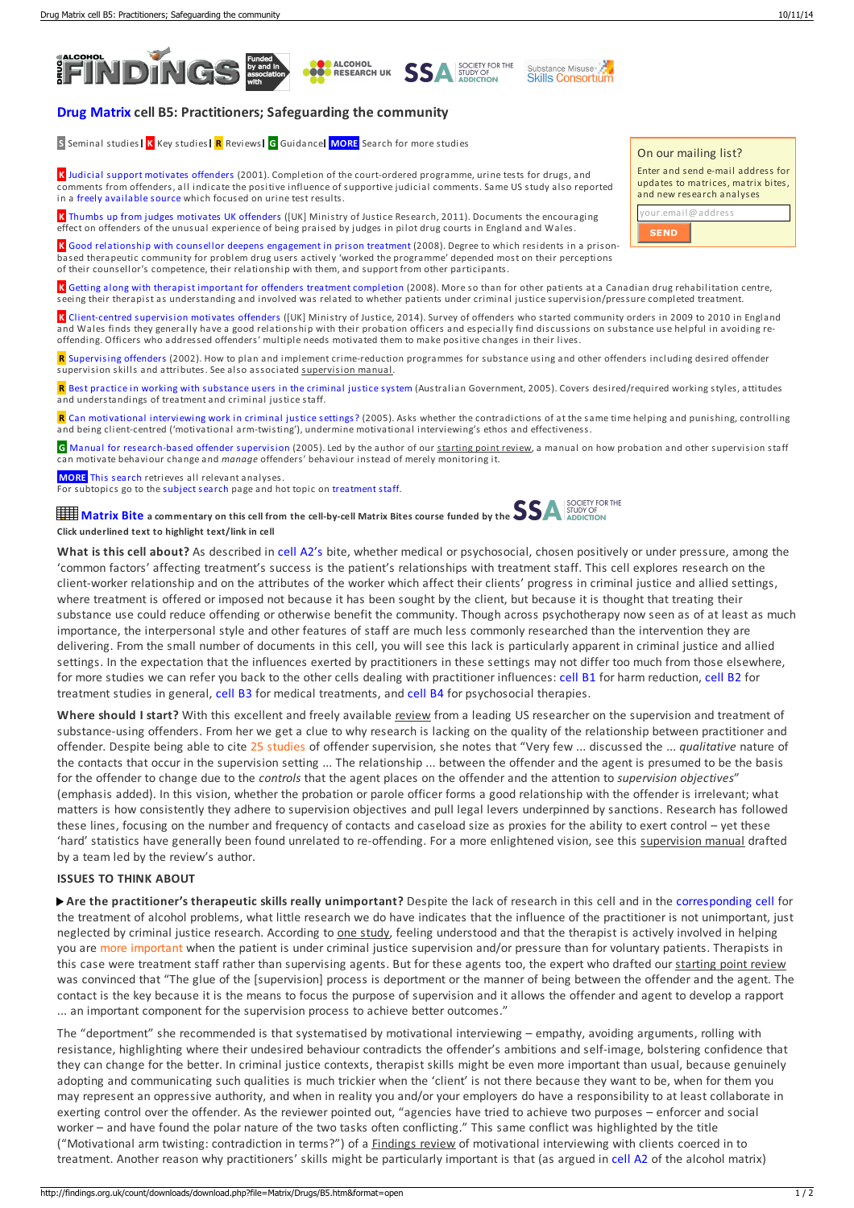



## **Drug [Matrix](http://findings.org.uk/count/downloads/download.php?file=dmatrix.htm) cell B5: Practitioners; Safeguarding the community**

**S** Seminal studies **K** Key studies **R** Reviews **G** Guidance **MORE** Search for more studies

**K** Judicial support [motivates](http://cjp.sagepub.com/content/12/1/66.short) offenders (2001). Completion of the court-ordered programme, urine tests for drugs, and comments from offenders, all indicate the positive influence of supportive judicial comments. Same US study also reported in a freely [available](http://westerncriminology.org/documents/WCR/v03n1/senjo/senjo.html) source which focused on urine test results.

**O** ALCOHOL<br>O RESEARCH UK

**K** Thumbs up from judges [motivates](http://findings.org.uk/count/downloads/download.php?file=Kerr_J_1.cab) UK offenders ([UK] Ministry of Justice Research, 2011). Documents the encouraging effect on offenders of the unusual experience of being praised by judges in pilot drug courts in England and Wales.

**K** Good [relationship](http://dx.doi.org/10.1016/j.drugalcdep.2008.03.019) with counsellor deepens engagement in prison treatment (2008). Degree to which residents in a prisonbased therapeutic community for problem drug users actively 'worked the programme' depended most on their perceptions of their counsellor's competence, their relationship with them, and support from other participants.

**K** Getting along with therapist important for offenders treatment [completion](http://dx.doi.org/10.1111/j.1360-0443.2007.02027.x) (2008). More so than for other patients at a Canadian drug rehabilitation centre, seeing their therapist as understanding and involved was related to whether patients under criminal justice supervision/pressure completed treatment.

**SSA SOCIETY FOR THE** 

Substance Misuse

**K** [Client-centred](https://www.gov.uk/government/publications/implementation-of-community-orders-results-from-the-offender-management-community-cohort-study) supervision motivates offenders ([UK] Ministry of Justice, 2014). Survey of offenders who started community orders in 2009 to 2010 in England and Wales finds they generally have a good relationship with their probation officers and especially find discussions on substance use helpful in avoiding reoffending. Officers who addressed offenders' multiple needs motivated them to make positive changes in their lives.

**R** [Supervising](http://dpca.state.ny.us/pdfs/taxman_fin.pdf) offenders (2002). How to plan and implement crime-reduction programmes for substance using and other offenders including desired offender supervision skills and attributes. See also associated supervision manual.

**R** Best practice in working with [substance](http://docs.health.vic.gov.au/docs/doc/Alcohol-and-Other-Drug-Treatment-within-the-Context-of-the-Criminal-Justice-System---A-Review-of-the-Literature-February---2005) users in the criminal justice system (Australian Government, 2005). Covers desired/required working styles, attitudes and understandings of treatment and criminal justice staff.

**R** Can [motivational](http://findings.org.uk/count/downloads/download.php?file=Ashton_M_34.pdf) interviewing work in criminal justice settings? (2005). Asks whether the contradictions of at the same time helping and punishing, controlling and being client-centred ('motivational arm-twisting'), undermine motivational interviewing's ethos and effectiveness.

**G** Manual for [research-based](http://www.nicic.org/pubs/2004/020095.pdf) offender supervision (2005). Led by the author of our starting point review, a manual on how probation and other supervision staff can motivate behaviour change and *manage* offenders' behaviour instead of merely monitoring it.

**MORE** This [search](http://findings.org.uk/topic_results.php?allCodes%5B%5D=A8.4x+M8.4x+crime+nuisance+disorder+8.6x+arrest+8.5x+prison+probation+11.+11.6x+drink-driving+accident+traffic+coerced+protection+dealer+dealing+distribution+market+diversion+sanctions+licensing+licensed+enforcement&substance%5B%5D=5.9x&othfeat%5B%5D=treatment+briefx&othfeat_hand%5B%5D=therapist&source=matrix_search&sortBy=DateAdded) retrieves all relevant analyses.

For subtopics go to the [subject](http://findings.org.uk/topic_search.htm) search page and hot topic on [treatment](http://findings.org.uk/count/downloads/download.php?file=hot_workforce.hot) staff.

**[Matrix](javascript:;) Bite a commentary on this cell from the cell-by-cell Matrix Bites course funded by the Click underlined text to highlight text/link in cell**

**What is this cell about?** As described in cell [A2's](http://findings.org.uk/count/downloads/download.php?file=Matrix/Drugs/A2.htm&format=open) bite, whether medical or psychosocial, chosen positively or under pressure, among the 'common factors' affecting treatment's success is the patient's relationships with treatment staff. This cell explores research on the client-worker relationship and on the attributes of the worker which affect their clients' progress in criminal justice and allied settings, where treatment is offered or imposed not because it has been sought by the client, but because it is thought that treating their substance use could reduce offending or otherwise benefit the community. Though across psychotherapy now seen as of at least as much importance, the interpersonal style and other features of staff are much less commonly researched than the intervention they are delivering. From the small number of documents in this cell, you will see this lack is particularly apparent in criminal justice and allied settings. In the expectation that the influences exerted by practitioners in these settings may not differ too much from those elsewhere, for more studies we can refer you back to the other cells dealing with practitioner influences: [cell](http://findings.org.uk/count/downloads/download.php?file=Matrix/Drugs/B1.htm) B1 for harm reduction, [cell](http://findings.org.uk/count/downloads/download.php?file=Matrix/Drugs/B2.htm) B2 for treatment studies in general, [cell](http://findings.org.uk/count/downloads/download.php?file=Matrix/Drugs/B3.htm) B3 for medical treatments, and [cell](http://findings.org.uk/count/downloads/download.php?file=Matrix/Drugs/B4.htm) B4 for psychosocial therapies.

**Where should I start?** With this excellent and freely available review from a leading US researcher on the supervision and treatment of substance-using offenders. From her we get a clue to why research is lacking on the quality of the relationship between practitionerand offender. Despite being able to cite 25 studies of offender supervision, she notes that "Very few ... discussed the ... *qualitative* nature of the contacts that occur in the supervision setting ... The relationship ... between the offender and the agent is presumed to be the basis for the offender to change due to the *controls* that the agent places on the offenderand the attention to *supervision objectives*" (emphasis added). In this vision, whether the probation or parole officer forms a good relationship with the offender is irrelevant; what matters is how consistently they adhere to supervision objectives and pull legal levers underpinned by sanctions. Research has followed these lines, focusing on the number and frequency of contacts and caseload size as proxies for the ability to exert control – yet these 'hard' statistics have generally been found unrelated to re-offending. Fora more enlightened vision, see this supervision manual drafted by a team led by the review's author.

## **ISSUES TO THINK ABOUT**

**Are the practitioner's therapeutic skills really unimportant?** Despite the lack of research in this cell and in the [corresponding](http://findings.org.uk/count/downloads/download.php?file=Matrix/Alcohol/B5.htm) cell for the treatment of alcohol problems, what little research we do have indicates that the influence of the practitioner is not unimportant, just neglected by criminal justice research. According to one study, feeling understood and that the therapist is actively involved in helping you are more important when the patient is under criminal justice supervision and/or pressure than for voluntary patients. Therapists in this case were treatment staff rather than supervising agents. But for these agents too, the expert who drafted our starting point review was convinced that "The glue of the [supervision] process is deportment or the manner of being between the offenderand the agent. The contact is the key because it is the means to focus the purpose of supervision and it allows the offender and agent to develop a rapport ... an important component for the supervision process to achieve better outcomes."

The "deportment" she recommended is that systematised by motivational interviewing – empathy, avoiding arguments, rolling with resistance, highlighting where their undesired behaviour contradicts the offender's ambitions and self-image, bolstering confidence that they can change for the better. In criminal justice contexts, therapist skills might be even more important than usual, because genuinely adopting and communicating such qualities is much trickier when the 'client' is not there because they want to be, when for them you may represent an oppressive authority, and when in reality you and/or your employers do have a responsibility to at least collaborate in exerting control over the offender. As the reviewer pointed out, "agencies have tried to achieve two purposes – enforcerand social worker – and have found the polar nature of the two tasks often conflicting." This same conflict was highlighted by the title ("Motivational arm twisting: contradiction in terms?") of a Findings review of motivational interviewing with clients coerced in to treatment. Another reason why practitioners' skills might be particularly important is that (as argued in [cell](http://findings.org.uk/count/downloads/download.php?file=Matrix/Alcohol/A2.htm&format=open#highlighted) A2 of the alcohol matrix)

On our mailing list?

**SEND**

| Enter and send e-mail address for<br>updates to matrices, matrix bites,<br>and new research analyses |
|------------------------------------------------------------------------------------------------------|
| your.email@address                                                                                   |